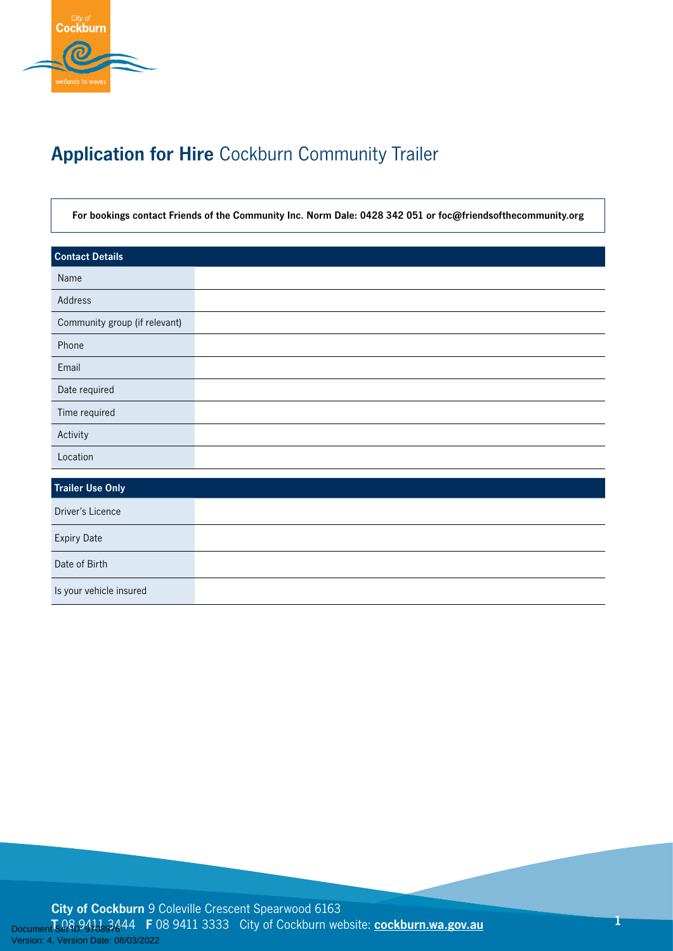

# **Application for Hire** Cockburn Community Trailer

**For bookings contact Friends of the Community Inc. Norm Dale: 0428 342 051 or foc@friendsofthecommunity.org**

| <b>Contact Details</b>        |
|-------------------------------|
| Name                          |
| Address                       |
| Community group (if relevant) |
| Phone                         |
| Email                         |
| Date required                 |
| Time required                 |
| Activity                      |
| Location                      |
| <b>Trailer Use Only</b>       |
| Driver's Licence              |
|                               |
| <b>Expiry Date</b>            |
| Date of Birth                 |
| Is your vehicle insured       |

**City of Cockburn** 9 Coleville Crescent Spearwood 6163 **T** 08 9411 3444 **F** 08 9411 3333 City of Cockburn website: **[cockburn.wa.gov.au](http://cockburn.wa.gov.au)** Version: 4, Version Date: 08/03/2022

**1**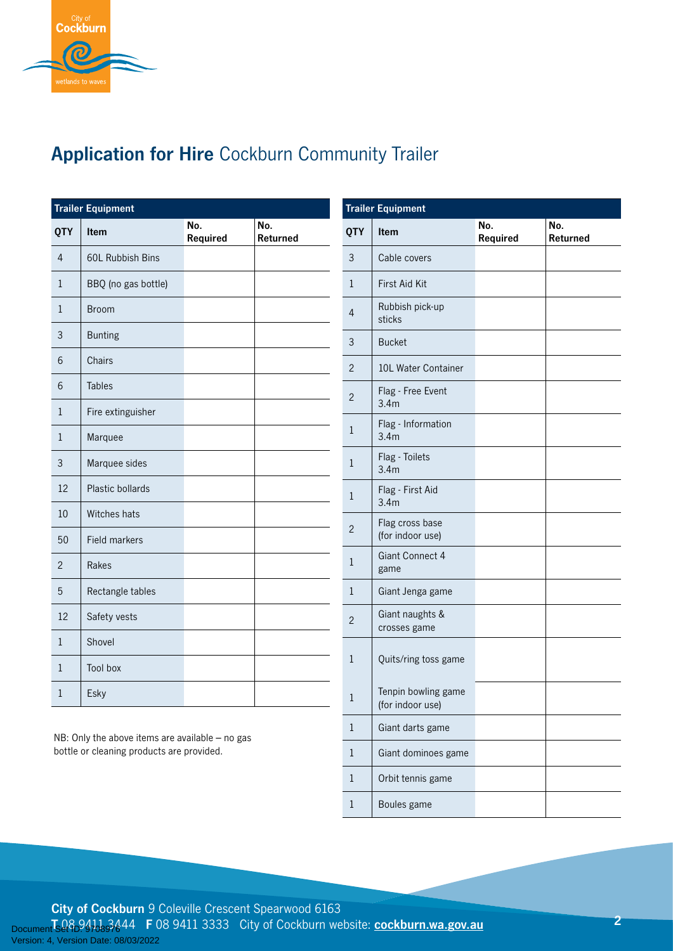

## **Application for Hire** Cockburn Community Trailer

**Trailer Equipment**

3 Cable covers

1 First Aid Kit

**QTY Item No.** 

| <b>Trailer Equipment</b> |                      |                 |                 |  |
|--------------------------|----------------------|-----------------|-----------------|--|
| <b>QTY</b>               | Item                 | No.<br>Required | No.<br>Returned |  |
| $\overline{4}$           | 60L Rubbish Bins     |                 |                 |  |
| 1                        | BBQ (no gas bottle)  |                 |                 |  |
| 1                        | <b>Broom</b>         |                 |                 |  |
| 3                        | <b>Bunting</b>       |                 |                 |  |
| 6                        | Chairs               |                 |                 |  |
| 6                        | <b>Tables</b>        |                 |                 |  |
| 1                        | Fire extinguisher    |                 |                 |  |
| 1                        | Marquee              |                 |                 |  |
| $\mathfrak{Z}$           | Marquee sides        |                 |                 |  |
| 12                       | Plastic bollards     |                 |                 |  |
| 10                       | Witches hats         |                 |                 |  |
| 50                       | <b>Field markers</b> |                 |                 |  |
| $\overline{2}$           | Rakes                |                 |                 |  |
| 5                        | Rectangle tables     |                 |                 |  |
| 12                       | Safety vests         |                 |                 |  |
| 1                        | Shovel               |                 |                 |  |
| 1                        | <b>Tool box</b>      |                 |                 |  |
| $\mathbf{1}$             | Esky                 |                 |                 |  |

| 4              | Rubbish pick-up<br>sticks               |  |
|----------------|-----------------------------------------|--|
| 3              | <b>Bucket</b>                           |  |
| $\overline{c}$ | 10L Water Container                     |  |
| $\overline{c}$ | Flag - Free Event<br>3.4 <sub>m</sub>   |  |
| 1              | Flag - Information<br>3.4 <sub>m</sub>  |  |
| 1              | Flag - Toilets<br>3.4 <sub>m</sub>      |  |
| 1              | Flag - First Aid<br>3.4 <sub>m</sub>    |  |
| $\overline{2}$ | Flag cross base<br>(for indoor use)     |  |
| $\mathbf{1}$   | Giant Connect 4<br>game                 |  |
| 1              | Giant Jenga game                        |  |
| $\overline{2}$ | Giant naughts &<br>crosses game         |  |
| 1              | Quits/ring toss game                    |  |
| 1              | Tenpin bowling game<br>(for indoor use) |  |
| 1              | Giant darts game                        |  |
| 1              | Giant dominoes game                     |  |
| 1              | Orbit tennis game                       |  |
| 1              | Boules game                             |  |
|                |                                         |  |

**Required**

**No. Returned**

NB: Only the above items are available – no gas bottle or cleaning products are provided.

**City of Cockburn** 9 Coleville Crescent Spearwood 6163 **T** 08 9411 3444 **F** 08 9411 3333 City of Cockburn website: **[cockburn.wa.gov.au](http://cockburn.wa.gov.au)** Version: 4, Version Date: 08/03/2022